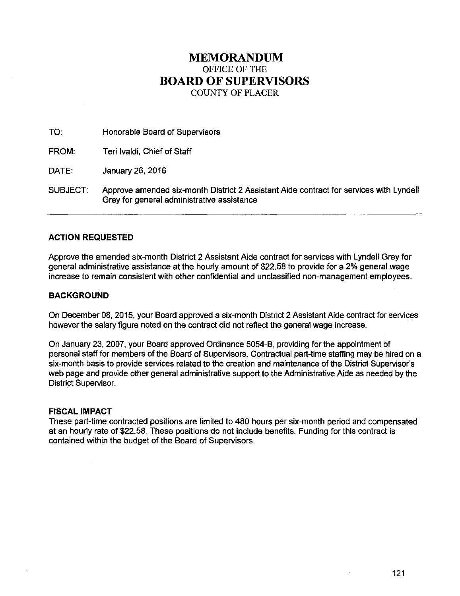# **MEMORANDUM**  OFFICE OF THE **BOARD OF SUPERVISORS**  COUNTY OF PLACER

TO: Honorable Board of Supervisors FROM: Teri lvaldi, Chief of Staff DATE: January 26, 2016 SUBJECT: Approve amended six-month District 2 Assistant Aide contract for services with Lyndell

# Grey for general administrative assistance

# **ACTION REQUESTED**

Approve the amended six-month District 2 Assistant Aide contract for services with Lyndell Grey for general administrative assistance at the hourly amount of \$22.58 to provide for a 2% general wage increase to remain consistent with other confidential and unclassified non-management employees.

# **BACKGROUND**

On December 08, 2015, your Board approved a six-month District 2 Assistant Aide contract for services however the salary figure noted on the contract did not reflect the general wage increase.

On January 23, 2007, your Board approved Ordinance 5054-B, providing for the appointment of personal staff for members of the Board of Supervisors. Contractual part-time staffing may be hired on a six-month basis to provide services related to the creation and maintenance of the District Supervisor's web page and provide other general administrative support to the Administrative Aide as needed by the District Supervisor.

# **FISCAL IMPACT**

These part-time contracted positions are limited to 480 hours per six-month period and compensated at an hourly rate of \$22.58. These positions do not include benefits. Funding for this contract is contained within the budget of the Board of Supervisors.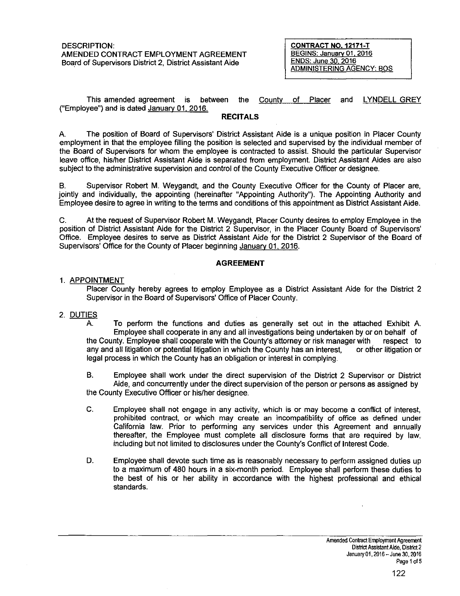DESCRIPTION: AMENDED CONTRACT EMPLOYMENT AGREEMENT Board of Supervisors District 2, District Assistant Aide

**CONTRACT N0.12171-T**  BEGINS: January 01, 2016 ENDS: June 30, 2016 ADMINISTERING AGENCY: BOS

This amended agreement is between the County of Placer and lYNDELL GREY ("Employee") and is dated January 01, 2016.

## **RECITALS**

A. The position of Board of Supervisors' District Assistant Aide is a unique position in Placer County employment in that the employee filling the position is selected and supervised by the individual member of the Board of Supervisors for whom the employee is contracted to assist. Should the particular Supervisor leave office, his/her District Assistant Aide is separated from employment. District Assistant Aides are also subject to the administrative supervision and control of the County Executive Officer or designee.

B. Supervisor Robert M. Weygandt, and the County Executive Officer for the County of Placer are, jointly and individually, the appointing (hereinafter "Appointing Authority"). The Appointing Authority and Employee desire to agree in writing to the terms and conditions of this appointment as District Assistant Aide.

C. At the request of Supervisor Robert M. Weygandt, Placer County desires to employ Employee in the position of District Assistant Aide for the District 2 Supervisor, in the Placer County Board of Supervisors' Office. Employee desires to serve as District Assistant Aide for the District 2 Supervisor of the Board of Supervisors' Office for the County of Placer beginning January 01, 2016.

## **AGREEMENT**

## 1. APPOINTMENT

Placer County hereby agrees to employ Employee as a District Assistant Aide for the District 2 Supervisor in the Board of Supervisors' Office of Placer County.

## 2. DUTIES

A. To perform the functions and duties as generally set out in the attached Exhibit A. Employee shall cooperate in any and all investigations being undertaken by or on behalf of the County. Employee shall cooperate with the County's attorney or risk manager with respect to any and all litigation or potential litigation in which the County has an interest, or *other* litigation or legal process in which the County has an obligation or interest in complying.

B. Employee shall work under the direct supervision of the District 2 Supervisor or District Aide, and concurrently under the direct supervision of the person or persons as assigned by the County Executive Officer or his/her designee.

- C. Employee shall not engage in any activity, which is or may become a conflict of interest, prohibited contract, or which may create an incompatibility of office as defined under California law. Prior to performing any services under this Agreement and annually thereafter, the Employee must complete all disclosure forms that are required by law, including but not limited to disclosures under the County's Conflict of Interest Code.
- D. Employee shall devote such time as is reasonably necessary to perform assigned duties up to a maximum of 480 hours in a six-month period. Employee shall perform these duties to the best of his or her ability in accordance with the highest professional and ethical standards.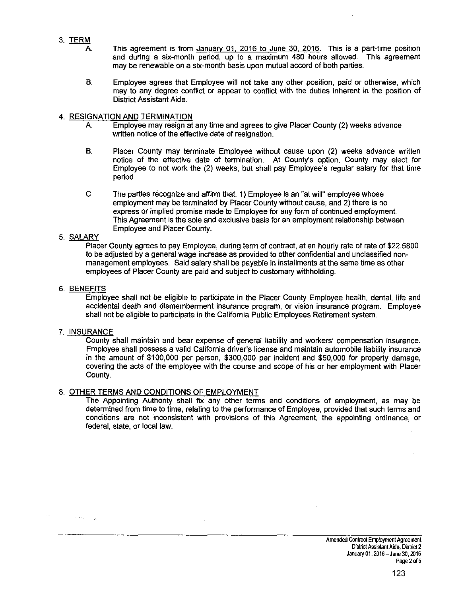- 3. TERM
	- A. This agreement is from January 01, 2016 to June 30, 2016. This is a part-time position and during a six-month period, up to a maximum 480 hours allowed. This agreement may be renewable on a six-month basis upon mutual accord of both parties.
	- B. Employee agrees that Employee will not take any other position, paid or otherwise, which may to any degree conflict or appear to conflict with the duties inherent in the position of District Assistant Aide.

## 4. RESIGNATION AND TERMINATION

- A. Employee may resign at any time and agrees to give Placer County (2) weeks advance written notice of the effective date of resignation.
- B. Placer County may terminate Employee without cause upon (2) weeks advance written notice of the effective date of termination. At County's option, County may elect for Employee to not work the (2) weeks, but shall pay Employee's regular salary for that time period.
- C. The parties recognize and affirm that: 1) Employee is an "at will" employee whose employment may be terminated by Placer County without cause, and 2) there is no express or implied promise made to Employee for any form of continued employment. This Agreement is the sole and exclusive basis for an employment relationship between Employee and Placer County.

# 5. SALARY

Placer County agrees to pay Employee, during term of contract, at an hourly rate of rate of \$22.5800 to be adjusted by a general wage increase as provided to other confidential and unclassified nonmanagement employees. Said salary shall be payable in installments at the same time as other employees of Placer County are paid and subject to customary withholding.

## 6. BENEFITS

Employee shall not be eligible to participate in the Placer County Employee health, dental, life and accidental death and dismemberment insurance program, or vision insurance program. Employee shall not be eligible to participate in the California Public Employees Retirement system.

## 7. INSURANCE

 $\label{eq:2} \mathcal{F}^{\frac{1}{2}}\left(\mathcal{F}_{\mathcal{F}}\mathcal{F}_{\mathcal{F}}\right)=\mathcal{F}_{\mathcal{F}}\left(\mathbf{g}_{\mathcal{F}}\right)_{\mathcal{F}}\mathcal{F}_{\mathcal{F}}$ 

County shall maintain and bear expense of general liability and workers' compensation insurance. Employee shall possess a valid California driver's license and maintain automobile liability insurance in the amount of \$100,000 per person, \$300,000 per incident and \$50,000 for property damage, covering the acts of the employee with the course and scope of his or her employment with Placer County.

## 8. OTHER TERMS AND CONDITIONS OF EMPLOYMENT

The Appointing Authority shall fix any other terms and conditions of employment, as may be determined from time to time, relating to the performance of Employee, provided that such terms and conditions are not inconsistent with provisions of this Agreement, the appointing ordinance, or federal, state, or local law.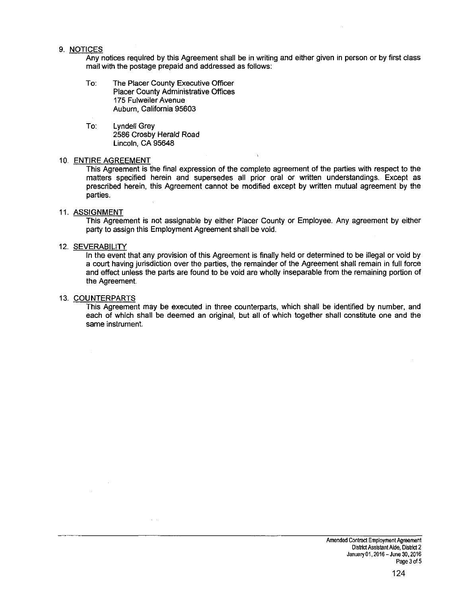#### 9. NOTICES

Any notices required by this Agreement shall be in writing and either given in person or by first class mail with the postage prepaid and addressed as follows:

- To: The Placer County Executive Officer Placer County Administrative Offices 175 Fulweiler Avenue Auburn, California 95603
- To: Lyndell Grey 2586 Crosby Herald Road Lincoln, CA 95648

#### 10. ENTIRE AGREEMENT

This Agreement is the final expression of the complete agreement of the parties with respect to the matters specified herein and supersedes all prior oral or written understandings. Except as prescribed herein, this Agreement cannot be modified except by written mutual agreement by the parties.

#### 11. ASSIGNMENT

This Agreement is not assignable by either Placer County or Employee. Any agreement by either party to assign this Employment Agreement shall be void.

#### 12. SEVERABILITY

In the event that any provision of this Agreement is finally held or determined to be illegal or void by a court having jurisdiction over the parties, the remainder of the Agreement shall remain in full force and effect unless the parts are found to be void are wholly inseparable from the remaining portion of the Agreement.

#### 13. COUNTERPARTS

This Agreement may be executed in three counterparts, which shall be identified by number, and each of which shall be deemed an original, but all of which together shall constitute one and the same instrument.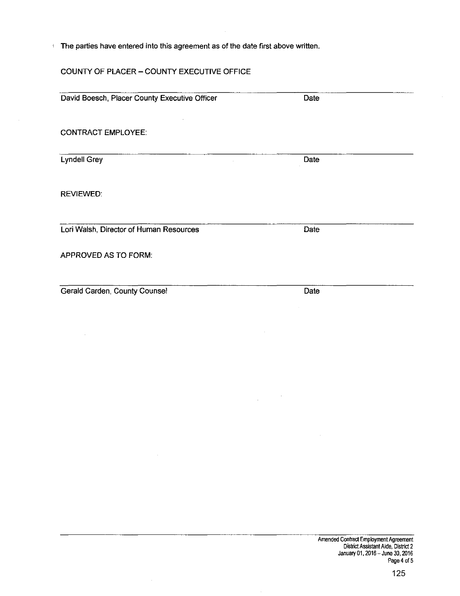The parties have entered into this agreement as of the date first above written.

# COUNTY OF PLACER- COUNTY EXECUTIVE OFFICE

 $\bar{z}$ 

| David Boesch, Placer County Executive Officer | Date |  |
|-----------------------------------------------|------|--|
|                                               |      |  |
| <b>CONTRACT EMPLOYEE:</b>                     |      |  |
| <b>Lyndell Grey</b>                           | Date |  |
| <b>REVIEWED:</b>                              |      |  |
| Lori Walsh, Director of Human Resources       | Date |  |
| APPROVED AS TO FORM:                          |      |  |
| Gerald Carden, County Counsel                 | Date |  |

 $\sim$